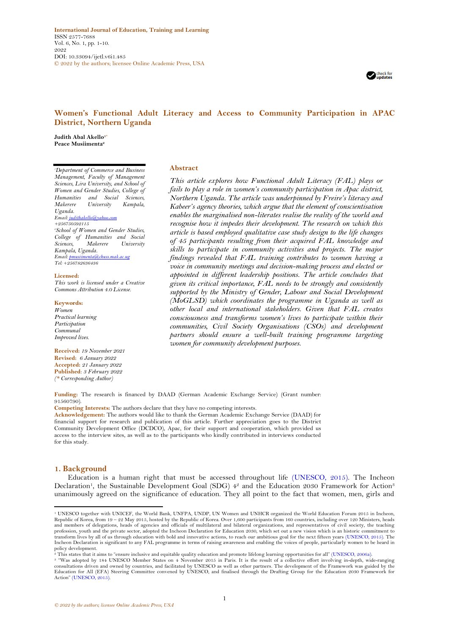**International Journal of Education, Training and Learning** ISSN 2577-7688 Vol. 6, No. 1, pp. 1-10. 2022 DOI: 10.33094/ijetl.v6i1.485 © 2022 by the authors; licensee Online Academic Press, USA



# **Women's Functional Adult Literacy and Access to Community Participation in APAC District, Northern Uganda**

**Judith Abal Akello1\* Peace Musiimenta<sup>2</sup>**

*<sup>1</sup>Department of Commerce and Business Management, Faculty of Management Sciences, Lira University, and School of Women and Gender Studies, College of Humanities and Social Sciences, Makerere University Kampala, Uganda. Email[: judithakello@yahoo.com](mailto:judithakello@yahoo.com) +256750592115 <sup>2</sup>School of Women and Gender Studies, College of Humanities and Social*   $University$ *Kampala, Uganda. Email[: pmusiimenta@chuss.mak.ac.ug](mailto:pmusiimenta@chuss.mak.ac.ug) Tel: +256782636436*

#### **Licensed:**

*This work is licensed under a Creative Commons Attribution 4.0 License.* 

**Keywords:** *Women Practical learning Participation Communal Improved lives.*

**Received:** *19 November 2021* **Revised:** *6 January 2022* **Accepted:** *21 January 2022* **Published**: *3 February 2022 (\* Corresponding Author)*

### **Abstract**

*This article explores how Functional Adult Literacy (FAL) plays or fails to play a role in women's community participation in Apac district, Northern Uganda. The article was underpinned by Freire's literacy and Kabeer's agency theories, which argue that the element of conscientisation enables the marginalised non-literates realise the reality of the world and recognise how it impedes their development. The research on which this article is based employed qualitative case study design to the life changes of 45 participants resulting from their acquired FAL knowledge and skills to participate in community activities and projects. The major findings revealed that FAL training contributes to women having a voice in community meetings and decision-making process and elected or appointed in different leadership positions. The article concludes that given its critical importance, FAL needs to be strongly and consistently supported by the Ministry of Gender, Labour and Social Development (MoGLSD) which coordinates the programme in Uganda as well as other local and international stakeholders. Given that FAL creates consciousness and transforms women's lives to participate within their communities, Civil Society Organisations (CSOs) and development partners should ensure a well-built training programme targeting women for community development purposes.*

**Funding:** The research is financed by DAAD (German Academic Exchange Service) (Grant number: 91560790).

**Competing Interests:** The authors declare that they have no competing interests.

**Acknowledgement:** The authors would like to thank the German Academic Exchange Service (DAAD) for financial support for research and publication of this article. Further appreciation goes to the District Community Development Office (DCDCO), Apac, for their support and cooperation, which provided us access to the interview sites, as well as to the participants who kindly contributed in interviews conducted for this study.

#### **1. Background**

Education is a human right that must be accessed throughout life [\(UNESCO, 2015\)](#page-9-0). The Incheon Declaration<sup>1</sup>, the Sustainable Development Goal (SDG) 4<sup>2</sup> and the Education 2030 Framework for Action<sup>3</sup> unanimously agreed on the significance of education. They all point to the fact that women, men, girls and

policy development.<br>º This states that it aims to "ensure inclusive and equitable quality education and promote lifelong learning opportunities for all" [\(UNESCO, 2006a\)](#page-9-1).

<sup>1</sup> UNESCO together with UNICEF, the World Bank, UNFPA, UNDP, UN Women and UNHCR organized the World Education Forum 2015 in Incheon, Republic of Korea, from 19 – 22 May 2015, hosted by the Republic of Korea. Over 1,600 participants from 160 countries, including over 120 Ministers, heads and members of delegations, heads of agencies and officials of multilateral and bilateral organizations, and representatives of civil society, the teaching<br>profession, youth and the private sector, adopted the Incheon Decl transform lives by all of us through education with bold and innovative actions, to reach our ambitious goal for the next fifteen years [\(UNESCO, 2015\)](#page-9-0). The Incheon Declaration is significant to any FAL programme in terms of raising awareness and enabling the voices of people, particularly women to be heard in

<sup>&</sup>lt;sup>3</sup> "Was adopted by 184 UNESCO Member States on 4 November 2015 in Paris. It is the result of a collective effort involving in-depth, wide-ranging consultations driven and owned by countries, and facilitated by UNESCO as w Action" [\(UNESCO, 2015\)](#page-9-0).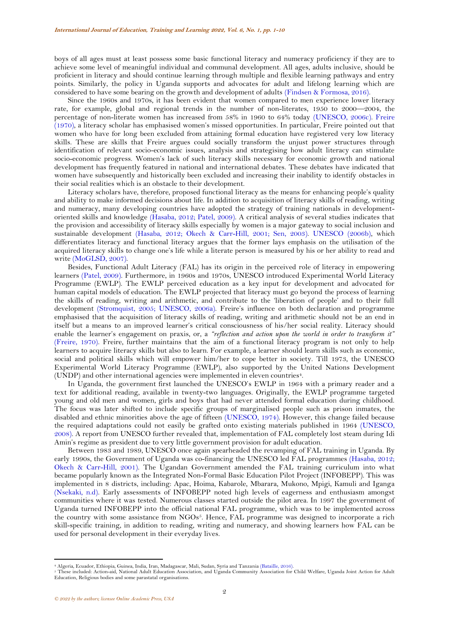boys of all ages must at least possess some basic functional literacy and numeracy proficiency if they are to achieve some level of meaningful individual and communal development. All ages, adults inclusive, should be proficient in literacy and should continue learning through multiple and flexible learning pathways and entry points. Similarly, the policy in Uganda supports and advocates for adult and lifelong learning which are considered to have some bearing on the growth and development of adults [\(Findsen & Formosa, 2016\)](#page-8-0).

Since the 1960s and 1970s, it has been evident that women compared to men experience lower literacy rate, for example, global and regional trends in the number of non-literates, 1950 to 2000—2004, the percentage of non-literate women has increased from 58% in 1960 to 64% today [\(UNESCO, 2006c\)](#page-9-2). [Freire](#page-8-1)  [\(1970\)](#page-8-1), a literacy scholar has emphasised women's missed opportunities. In particular, Freire pointed out that women who have for long been excluded from attaining formal education have registered very low literacy skills. These are skills that Freire argues could socially transform the unjust power structures through identification of relevant socio-economic issues, analysis and strategising how adult literacy can stimulate socio-economic progress. Women's lack of such literacy skills necessary for economic growth and national development has frequently featured in national and international debates. These debates have indicated that women have subsequently and historically been excluded and increasing their inability to identify obstacles in their social realities which is an obstacle to their development.

Literacy scholars have, therefore, proposed functional literacy as the means for enhancing people's quality and ability to make informed decisions about life. In addition to acquisition of literacy skills of reading, writing and numeracy, many developing countries have adopted the strategy of training nationals in developmentoriented skills and knowledge [\(Hasaba, 2012;](#page-9-3) [Patel, 2009\)](#page-9-4). A critical analysis of several studies indicates that the provision and accessibility of literacy skills especially by women is a major gateway to social inclusion and sustainable development [\(Hasaba, 2012;](#page-9-3) [Okech & Carr-Hill, 2001;](#page-9-5) [Sen, 2003\)](#page-9-6). [UNESCO \(2006b\)](#page-9-7), which differentiates literacy and functional literacy argues that the former lays emphasis on the utilisation of the acquired literacy skills to change one's life while a literate person is measured by his or her ability to read and write [\(MoGLSD, 2007\)](#page-9-8).

Besides, Functional Adult Literacy (FAL) has its origin in the perceived role of literacy in empowering learners [\(Patel, 2009\)](#page-9-4). Furthermore, in 1960s and 1970s, UNESCO introduced Experimental World Literacy Programme (EWLP). The EWLP perceived education as a key input for development and advocated for human capital models of education. The EWLP projected that literacy must go beyond the process of learning the skills of reading, writing and arithmetic, and contribute to the 'liberation of people' and to their full development [\(Stromquist, 2005;](#page-9-9) [UNESCO, 2006a\)](#page-9-1). Freire's influence on both declaration and programme emphasised that the acquisition of literacy skills of reading, writing and arithmetic should not be an end in itself but a means to an improved learner's critical consciousness of his/her social reality. Literacy should enable the learner's engagement on praxis, or, a *"reflection and action upon the world in order to transform it"* [\(Freire, 1970\)](#page-8-1). Freire, further maintains that the aim of a functional literacy program is not only to help learners to acquire literacy skills but also to learn. For example, a learner should learn skills such as economic, social and political skills which will empower him/her to cope better in society. Till 1973, the UNESCO Experimental World Literacy Programme (EWLP), also supported by the United Nations Development (UNDP) and other international agencies were implemented in eleven countries<sup>4</sup>.

In Uganda, the government first launched the UNESCO's EWLP in 1964 with a primary reader and a text for additional reading, available in twenty-two languages. Originally, the EWLP programme targeted young and old men and women, girls and boys that had never attended formal education during childhood. The focus was later shifted to include specific groups of marginalised people such as prison inmates, the disabled and ethnic minorities above the age of fifteen [\(UNESCO, 1974\)](#page-9-10). However, this change failed because the required adaptations could not easily be grafted onto existing materials published in 1964 [\(UNESCO,](#page-9-11)  [2008\)](#page-9-11). A report from UNESCO further revealed that, implementation of FAL completely lost steam during Idi Amin's regime as president due to very little government provision for adult education.

Between 1983 and 1989, UNESCO once again spearheaded the revamping of FAL training in Uganda. By early 1990s, the Government of Uganda was co-financing the UNESCO led FAL programmes [\(Hasaba, 2012;](#page-9-3) [Okech & Carr-Hill, 2001\)](#page-9-5). The Ugandan Government amended the FAL training curriculum into what became popularly known as the Integrated Non-Formal Basic Education Pilot Project (INFOBEPP). This was implemented in 8 districts, including: Apac, Hoima, Kabarole, Mbarara, Mukono, Mpigi, Kamuli and Iganga [\(Nsekaki, n.d\)](#page-9-12). Early assessments of INFOBEPP noted high levels of eagerness and enthusiasm amongst communities where it was tested. Numerous classes started outside the pilot area. In 1997 the government of Uganda turned INFOBEPP into the official national FAL programme, which was to be implemented across the country with some assistance from NGOs<sup>5</sup>. Hence, FAL programme was designed to incorporate a rich skill-specific training, in addition to reading, writing and numeracy, and showing learners how FAL can be used for personal development in their everyday lives.

<sup>4</sup> Algeria, Ecuador, Ethiopia, Guinea, India, Iran, Madagascar, Mali, Sudan, Syria and Tanzania [\(Bataille, 2016\)](#page-8-2).

<sup>5</sup> These included: Action-aid, National Adult Education Association, and Uganda Community Association for Child Welfare, Uganda Joint Action for Adult Education, Religious bodies and some parastatal organisations.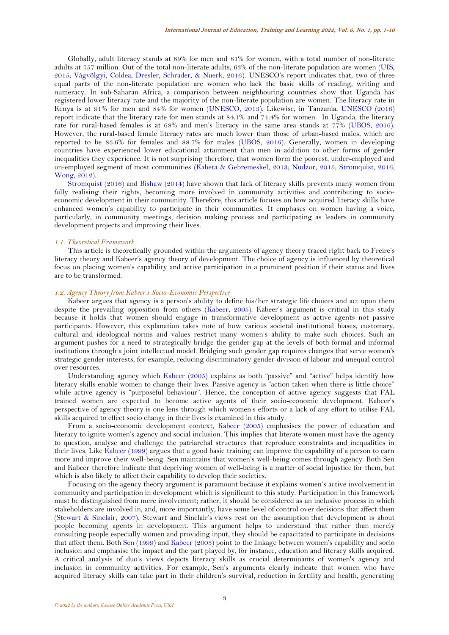Globally, adult literacy stands at 89% for men and 81% for women, with a total number of non-literate adults at 757 million. Out of the total non-literate adults, 63% of the non-literate population are women [\(UIS,](#page-9-13)  [2015;](#page-9-13) [Vágvölgyi, Coldea, Dresler, Schrader, & Nuerk, 2016\)](#page-9-14). UNESCO's report indicates that, two of three equal parts of the non-literate population are women who lack the basic skills of reading, writing and numeracy. In sub-Saharan Africa, a comparison between neighbouring countries show that Uganda has registered lower literacy rate and the majority of the non-literate population are women. The literacy rate in Kenya is at 91% for men and 84% for women [\(UNESCO, 2013\)](#page-9-15). Likewise, in Tanzania, [UNESCO \(2016\)](#page-9-16) report indicate that the literacy rate for men stands at 84.1% and 74.4% for women. In Uganda, the literacy rate for rural-based females is at 68% and men's literacy in the same area stands at 77% [\(UBOS, 2016\)](#page-9-17). However, the rural-based female literacy rates are much lower than those of urban-based males, which are reported to be 83.6% for females and 88.7% for males [\(UBOS, 2016\)](#page-9-17). Generally, women in developing countries have experienced lower educational attainment than men in addition to other forms of gender inequalities they experience. It is not surprising therefore, that women form the poorest, under-employed and un-employed segment of most communities [\(Kabeta & Gebremeskel, 2013;](#page-9-18) [Nudzor, 2015;](#page-9-19) [Stromquist,](#page-9-20) 2016; [Wong, 2012\)](#page-9-21).

[Stromquist](#page-9-20) (2016) and [Bishaw \(2014\)](#page-8-3) have shown that lack of literacy skills prevents many women from fully realising their rights, becoming more involved in community activities and contributing to socioeconomic development in their community. Therefore, this article focuses on how acquired literacy skills have enhanced women's capability to participate in their communities. It emphases on women having a voice, particularly, in community meetings, decision making process and participating as leaders in community development projects and improving their lives.

#### *1.1. Theoretical Framework*

This article is theoretically grounded within the arguments of agency theory traced right back to Freire's literacy theory and Kabeer's agency theory of development. The choice of agency is influenced by theoretical focus on placing women's capability and active participation in a prominent position if their status and lives are to be transformed.

### *1.2. Agency Theory from Kabeer's Socio-Economic Perspective*

Kabeer argues that agency is a person's ability to define his/her strategic life choices and act upon them despite the prevailing opposition from others [\(Kabeer, 2005\)](#page-9-22). Kabeer's argument is critical in this study because it holds that women should engage in transformative development as active agents not passive participants. However, this explanation takes note of how various societal institutional biases, customary, cultural and ideological norms and values restrict many women's ability to make such choices. Such an argument pushes for a need to strategically bridge the gender gap at the levels of both formal and informal institutions through a joint intellectual model. Bridging such gender gap requires changes that serve women's strategic gender interests, for example, reducing discriminatory gender division of labour and unequal control over resources.

Understanding agency which [Kabeer](#page-9-22) (2005) explains as both "passive" and "active" helps identify how literacy skills enable women to change their lives. Passive agency is "action taken when there is little choice" while active agency is "purposeful behaviour". Hence, the conception of active agency suggests that FAL trained women are expected to become active agents of their socio-economic development. Kabeer's perspective of agency theory is one lens through which women's efforts or a lack of any effort to utilise FAL skills acquired to effect socio change in their lives is examined in this study.

From a socio-economic development context, [Kabeer](#page-9-22) (2005) emphasises the power of education and literacy to ignite women's agency and social inclusion. This implies that literate women must have the agency to question, analyse and challenge the patriarchal structures that reproduce constraints and inequalities in their lives. Like [Kabeer \(1999\)](#page-9-23) argues that a good basic training can improve the capability of a person to earn more and improve their well-being. Sen maintains that women's well-being comes through agency. Both Sen and Kabeer therefore indicate that depriving women of well-being is a matter of social injustice for them, but which is also likely to affect their capability to develop their societies.

Focusing on the agency theory argument is paramount because it explains women's active involvement in community and participation in development which is significant to this study. Participation in this framework must be distinguished from mere involvement; rather, it should be considered as an inclusive process in which stakeholders are involved in, and, more importantly, have some level of control over decisions that affect them [\(Stewart & Sinclair, 2007\)](#page-9-24). Stewart and Sinclair's views rest on the assumption that development is about people becoming agents in development. This argument helps to understand that rather than merely consulting people especially women and providing input, they should be capacitated to participate in decisions that affect them. Both [Sen \(1999\)](#page-9-25) an[d Kabeer](#page-9-22) (2005) point to the linkage between women's capability and socio inclusion and emphasise the impact and the part played by, for instance, education and literacy skills acquired. A critical analysis of duo's views depicts literacy skills as crucial determinants of women's agency and inclusion in community activities. For example, Sen's arguments clearly indicate that women who have acquired literacy skills can take part in their children's survival, reduction in fertility and health, generating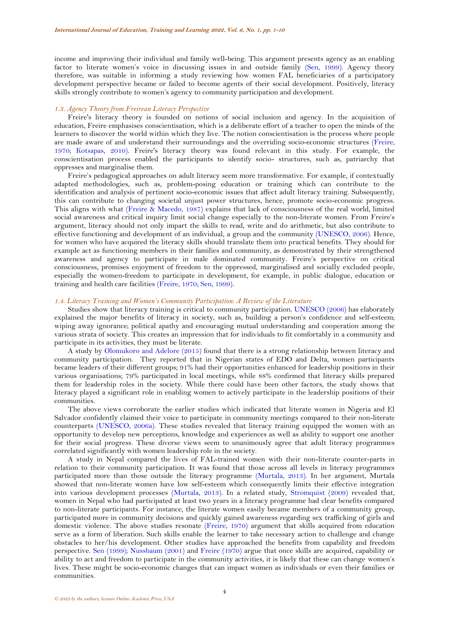income and improving their individual and family well-being. This argument presents agency as an enabling factor to literate women's voice in discussing issues in and outside family [\(Sen, 1999\)](#page-9-25). Agency theory therefore, was suitable in informing a study reviewing how women FAL beneficiaries of a participatory development perspective became or failed to become agents of their social development. Positively, literacy skills strongly contribute to women's agency to community participation and development.

#### *1.3. Agency Theory from Freirean Literacy Perspective*

Freire's literacy theory is founded on notions of social inclusion and agency. In the acquisition of education, Freire emphasises conscientisation, which is a deliberate effort of a teacher to open the minds of the learners to discover the world within which they live. The notion conscientisation is the process where people are made aware of and understand their surroundings and the overriding socio-economic structures [\(Freire,](#page-8-1)  [1970;](#page-8-1) [Kotsapas, 2010\)](#page-9-26). Freire's literacy theory was found relevant in this study. For example, the conscientisation process enabled the participants to identify socio- structures, such as, patriarchy that oppresses and marginalise them.

Freire's pedagogical approaches on adult literacy seem more transformative. For example, if contextually adapted methodologies, such as, problem-posing education or training which can contribute to the identification and analysis of pertinent socio-economic issues that affect adult literacy training. Subsequently, this can contribute to changing societal unjust power structures, hence, promote socio-economic progress. This aligns with what [\(Freire & Macedo, 1987\)](#page-8-4) explains that lack of consciousness of the real world, limited social awareness and critical inquiry limit social change especially to the non-literate women. From Freire's argument, literacy should not only impart the skills to read, write and do arithmetic, but also contribute to effective functioning and development of an individual, a group and the community [\(UNESCO, 2006\)](#page-9-27). Hence, for women who have acquired the literacy skills should translate them into practical benefits. They should for example act as functioning members in their families and community, as demonstrated by their strengthened awareness and agency to participate in male dominated community. Freire's perspective on critical consciousness, promises enjoyment of freedom to the oppressed, marginalised and socially excluded people, especially the women-freedom to participate in development, for example, in public dialogue, education or training and health care facilities [\(Freire, 1970;](#page-8-1) [Sen, 1999\)](#page-9-25).

### *1.4. Literacy Training and Women's Community Participation: A Review of the Literature*

Studies show that literacy training is critical to community participation. [UNESCO](#page-9-27) (2006) has elaborately explained the major benefits of literacy in society, such as, building a person's confidence and self-esteem; wiping away ignorance; political apathy and encouraging mutual understanding and cooperation among the various strata of society. This creates an impression that for individuals to fit comfortably in a community and participate in its activities, they must be literate.

A study by [Olomukoro and Adelore \(2015\)](#page-9-28) found that there is a strong relationship between literacy and community participation. They reported that in Nigerian states of EDO and Delta, women participants became leaders of their different groups; 91% had their opportunities enhanced for leadership positions in their various organisations; 79% participated in local meetings, while 88% confirmed that literacy skills prepared them for leadership roles in the society. While there could have been other factors, the study shows that literacy played a significant role in enabling women to actively participate in the leadership positions of their communities.

The above views corroborate the earlier studies which indicated that literate women in Nigeria and El Salvador confidently claimed their voice to participate in community meetings compared to their non-literate counterparts [\(UNESCO, 2006a\)](#page-9-1). These studies revealed that literacy training equipped the women with an opportunity to develop new perceptions, knowledge and experiences as well as ability to support one another for their social progress. These diverse views seem to unanimously agree that adult literacy programmes correlated significantly with women leadership role in the society.

A study in Nepal compared the lives of FAL-trained women with their non-literate counter-parts in relation to their community participation. It was found that those across all levels in literacy programmes participated more than those outside the literacy programme [\(Murtala, 2013\)](#page-9-29). In her argument, Murtala showed that non-literate women have low self-esteem which consequently limits their effective integration into various development processes [\(Murtala, 2013\)](#page-9-29). In a related study, [Stromquist](#page-9-30) (2009) revealed that, women in Nepal who had participated at least two years in a literacy programme had clear benefits compared to non-literate participants. For instance, the literate women easily became members of a community group, participated more in community decisions and quickly gained awareness regarding sex trafficking of girls and domestic violence. The above studies resonate [\(Freire, 1970\)](#page-8-1) argument that skills acquired from education serve as a form of liberation. Such skills enable the learner to take necessary action to challenge and change obstacles to her/his development. Other studies have approached the benefits from capability and freedom perspective. [Sen \(1999\)](#page-9-25); [Nussbaum \(2001\)](#page-9-31) and [Freire \(1970\)](#page-8-1) argue that once skills are acquired, capability or ability to act and freedom to participate in the community activities, it is likely that these can change women's lives. These might be socio-economic changes that can impact women as individuals or even their families or communities.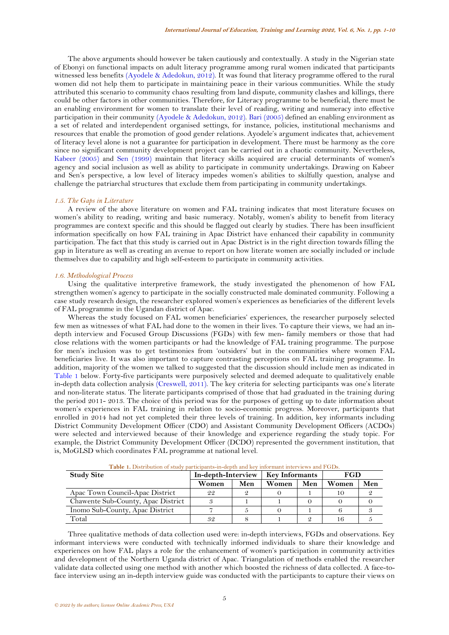The above arguments should however be taken cautiously and contextually. A study in the Nigerian state of Ebonyi on functional impacts on adult literacy programme among rural women indicated that participants witnessed less benefits [\(Ayodele & Adedokun, 2012\)](#page-8-5). It was found that literacy programme offered to the rural women did not help them to participate in maintaining peace in their various communities. While the study attributed this scenario to community chaos resulting from land dispute, community clashes and killings, there could be other factors in other communities. Therefore, for Literacy programme to be beneficial, there must be an enabling environment for women to translate their level of reading, writing and numeracy into effective participation in their community [\(Ayodele & Adedokun, 2012\)](#page-8-5). [Bari \(2005\)](#page-8-6) defined an enabling environment as a set of related and interdependent organised settings, for instance, policies, institutional mechanisms and resources that enable the promotion of good gender relations. Ayodele's argument indicates that, achievement of literacy level alone is not a guarantee for participation in development. There must be harmony as the core since no significant community development project can be carried out in a chaotic community. Nevertheless, [Kabeer](#page-9-22) (2005) and [Sen \(1999\)](#page-9-25) maintain that literacy skills acquired are crucial determinants of women's agency and social inclusion as well as ability to participate in community undertakings. Drawing on Kabeer and Sen's perspective, a low level of literacy impedes women's abilities to skilfully question, analyse and challenge the patriarchal structures that exclude them from participating in community undertakings.

#### *1.5. The Gaps in Literature*

A review of the above literature on women and FAL training indicates that most literature focuses on women's ability to reading, writing and basic numeracy. Notably, women's ability to benefit from literacy programmes are context specific and this should be flagged out clearly by studies. There has been insufficient information specifically on how FAL training in Apac District have enhanced their capability in community participation. The fact that this study is carried out in Apac District is in the right direction towards filling the gap in literature as well as creating an avenue to report on how literate women are socially included or include themselves due to capability and high self-esteem to participate in community activities.

### *1.6. Methodological Process*

Using the qualitative interpretive framework, the study investigated the phenomenon of how FAL strengthen women's agency to participate in the socially constructed male dominated community. Following a case study research design, the researcher explored women's experiences as beneficiaries of the different levels of FAL programme in the Ugandan district of Apac.

Whereas the study focused on FAL women beneficiaries' experiences, the researcher purposely selected few men as witnesses of what FAL had done to the women in their lives. To capture their views, we had an indepth interview and Focused Group Discussions (FGDs) with few men- family members or those that had close relations with the women participants or had the knowledge of FAL training programme. The purpose for men's inclusion was to get testimonies from 'outsiders' but in the communities where women FAL beneficiaries live. It was also important to capture contrasting perceptions on FAL training programme. In addition, majority of the women we talked to suggested that the discussion should include men as indicated in [Table 1](#page-4-0) below. Forty-five participants were purposively selected and deemed adequate to qualitatively enable in-depth data collection analysis [\(Creswell, 2011\)](#page-8-7). The key criteria for selecting participants was one's literate and non-literate status. The literate participants comprised of those that had graduated in the training during the period 2011- 2013. The choice of this period was for the purposes of getting up to date information about women's experiences in FAL training in relation to socio-economic progress. Moreover, participants that enrolled in 2014 had not yet completed their three levels of training. In addition, key informants including District Community Development Officer (CDO) and Assistant Community Development Officers (ACDOs) were selected and interviewed because of their knowledge and experience regarding the study topic. For example, the District Community Development Officer (DCDO) represented the government institution, that is, MoGLSD which coordinates FAL programme at national level.

<span id="page-4-0"></span>

| <b>Study Site</b>                  | In-depth-Interview |     | <b>Key Informants</b> |     | FGD   |     |
|------------------------------------|--------------------|-----|-----------------------|-----|-------|-----|
|                                    | Women              | Men | Women                 | Men | Women | Men |
| Apac Town Council-Apac District    | 22                 |     |                       |     |       |     |
| Chawente Sub-County, Apac District |                    |     |                       |     |       |     |
| Inomo Sub-County, Apac District    |                    |     |                       |     |       |     |
| Total                              | 32                 |     |                       |     |       |     |

**Table 1.** Distribution of study participants-in-depth and key informant interviews and FGDs.

Three qualitative methods of data collection used were: in-depth interviews, FGDs and observations. Key informant interviews were conducted with technically informed individuals to share their knowledge and experiences on how FAL plays a role for the enhancement of women's participation in community activities and development of the Northern Uganda district of Apac. Triangulation of methods enabled the researcher validate data collected using one method with another which boosted the richness of data collected. A face-toface interview using an in-depth interview guide was conducted with the participants to capture their views on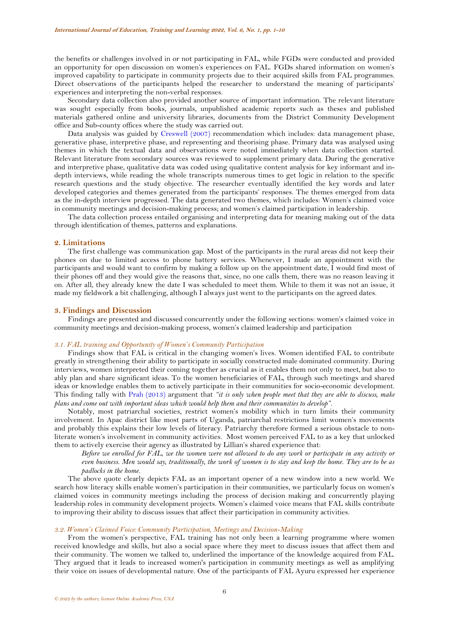the benefits or challenges involved in or not participating in FAL, while FGDs were conducted and provided an opportunity for open discussion on women's experiences on FAL. FGDs shared information on women's improved capability to participate in community projects due to their acquired skills from FAL programmes. Direct observations of the participants helped the researcher to understand the meaning of participants' experiences and interpreting the non-verbal responses.

Secondary data collection also provided another source of important information. The relevant literature was sought especially from books, journals, unpublished academic reports such as theses and published materials gathered online and university libraries, documents from the District Community Development office and Sub-county offices where the study was carried out.

Data analysis was guided by [Creswell \(2007\)](#page-8-8) recommendation which includes: data management phase, generative phase, interpretive phase, and representing and theorising phase. Primary data was analysed using themes in which the textual data and observations were noted immediately when data collection started. Relevant literature from secondary sources was reviewed to supplement primary data. During the generative and interpretive phase, qualitative data was coded using qualitative content analysis for key informant and indepth interviews, while reading the whole transcripts numerous times to get logic in relation to the specific research questions and the study objective. The researcher eventually identified the key words and later developed categories and themes generated from the participants' responses. The themes emerged from data as the in-depth interview progressed. The data generated two themes, which includes: Women's claimed voice in community meetings and decision-making process; and women's claimed participation in leadership.

The data collection process entailed organising and interpreting data for meaning making out of the data through identification of themes, patterns and explanations.

### **2. Limitations**

The first challenge was communication gap. Most of the participants in the rural areas did not keep their phones on due to limited access to phone battery services. Whenever, I made an appointment with the participants and would want to confirm by making a follow up on the appointment date, I would find most of their phones off and they would give the reasons that, since, no one calls them, there was no reason leaving it on. After all, they already knew the date I was scheduled to meet them. While to them it was not an issue, it made my fieldwork a bit challenging, although I always just went to the participants on the agreed dates.

### **3. Findings and Discussion**

Findings are presented and discussed concurrently under the following sections: women's claimed voice in community meetings and decision-making process, women's claimed leadership and participation

### *3.1. FAL training and Opportunity of Women's Community Participation*

Findings show that FAL is critical in the changing women's lives. Women identified FAL to contribute greatly in strengthening their ability to participate in socially constructed male dominated community. During interviews, women interpreted their coming together as crucial as it enables them not only to meet, but also to ably plan and share significant ideas. To the women beneficiaries of FAL, through such meetings and shared ideas or knowledge enables them to actively participate in their communities for socio-economic development. This finding tally with [Prah \(2013\)](#page-9-32) argument that *"it is only when people meet that they are able to discuss, make plans and come out with important ideas which would help them and their communities to develop"*.

Notably, most patriarchal societies, restrict women's mobility which in turn limits their community involvement. In Apac district like most parts of Uganda, patriarchal restrictions limit women's movements and probably this explains their low levels of literacy. Patriarchy therefore formed a serious obstacle to nonliterate women's involvement in community activities. Most women perceived FAL to as a key that unlocked them to actively exercise their agency as illustrated by Lillian's shared experience that:

*Before we enrolled for FAL, we the women were not allowed to do any work or participate in any activity or even business. Men would say, traditionally, the work of women is to stay and keep the home. They are to be as padlocks in the home.*

The above quote clearly depicts FAL as an important opener of a new window into a new world. We search how literacy skills enable women's participation in their communities, we particularly focus on women's claimed voices in community meetings including the process of decision making and concurrently playing leadership roles in community development projects. Women's claimed voice means that FAL skills contribute to improving their ability to discuss issues that affect their participation in community activities.

#### *3.2. Women's Claimed Voice: Community Participation, Meetings and Decision-Making*

From the women's perspective, FAL training has not only been a learning programme where women received knowledge and skills, but also a social space where they meet to discuss issues that affect them and their community. The women we talked to, underlined the importance of the knowledge acquired from FAL. They argued that it leads to increased women's participation in community meetings as well as amplifying their voice on issues of developmental nature. One of the participants of FAL Ayuru expressed her experience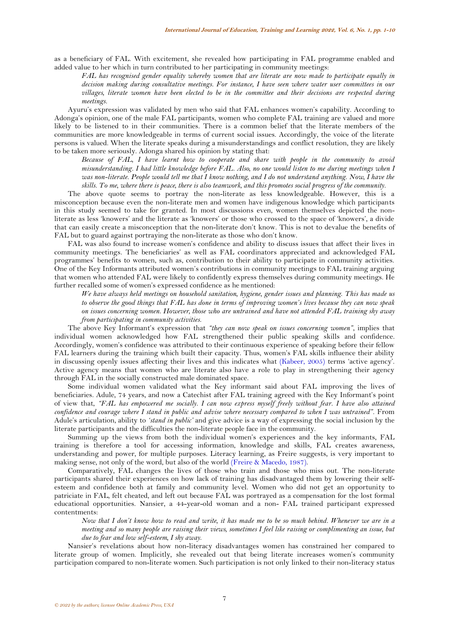as a beneficiary of FAL. With excitement, she revealed how participating in FAL programme enabled and added value to her which in turn contributed to her participating in community meetings:

*FAL has recognised gender equality whereby women that are literate are now made to participate equally in decision making during consultative meetings. For instance, I have seen where water user committees in our villages, literate women have been elected to be in the committee and their decisions are respected during meetings.*

Ayuru's expression was validated by men who said that FAL enhances women's capability. According to Adonga's opinion, one of the male FAL participants, women who complete FAL training are valued and more likely to be listened to in their communities. There is a common belief that the literate members of the communities are more knowledgeable in terms of current social issues. Accordingly, the voice of the literate persons is valued. When the literate speaks during a misunderstandings and conflict resolution, they are likely to be taken more seriously. Adonga shared his opinion by stating that:

*Because of FAL, I have learnt how to cooperate and share with people in the community to avoid misunderstanding. I had little knowledge before FAL. Also, no one would listen to me during meetings when I was non-literate. People would tell me that I know nothing, and I do not understand anything. Now, I have the skills. To me, where there is peace, there is also teamwork, and this promotes social progress of the community.*

The above quote seems to portray the non-literate as less knowledgeable. However, this is a misconception because even the non-literate men and women have indigenous knowledge which participants in this study seemed to take for granted. In most discussions even, women themselves depicted the nonliterate as less 'knowers' and the literate as 'knowers' or those who crossed to the space of 'knowers', a divide that can easily create a misconception that the non-literate don't know. This is not to devalue the benefits of FAL but to guard against portraying the non-literate as those who don't know.

FAL was also found to increase women's confidence and ability to discuss issues that affect their lives in community meetings. The beneficiaries' as well as FAL coordinators appreciated and acknowledged FAL programmes' benefits to women, such as, contribution to their ability to participate in community activities. One of the Key Informants attributed women's contributions in community meetings to FAL training arguing that women who attended FAL were likely to confidently express themselves during community meetings. He further recalled some of women's expressed confidence as he mentioned:

*We have always held meetings on household sanitation, hygiene, gender issues and planning. This has made us to observe the good things that FAL has done in terms of improving women's lives because they can now speak on issues concerning women. However, those who are untrained and have not attended FAL training shy away from participating in community activities.*

The above Key Informant's expression that *"they can now speak on issues concerning women"*, implies that individual women acknowledged how FAL strengthened their public speaking skills and confidence. Accordingly, women's confidence was attributed to their continuous experience of speaking before their fellow FAL learners during the training which built their capacity. Thus, women's FAL skills influence their ability in discussing openly issues affecting their lives and this indicates what [\(Kabeer, 2005\)](#page-9-22) terms 'active agency'. Active agency means that women who are literate also have a role to play in strengthening their agency through FAL in the socially constructed male dominated space.

Some individual women validated what the Key informant said about FAL improving the lives of beneficiaries. Adule, 74 years, and now a Catechist after FAL training agreed with the Key Informant's point of view that, *"FAL has empowered me socially. I can now express myself freely without fear. I have also attained confidence and courage where I stand in public and advise where necessary compared to when I was untrained".* From Adule's articulation, ability to *'stand in public'* and give advice is a way of expressing the social inclusion by the literate participants and the difficulties the non-literate people face in the community.

Summing up the views from both the individual women's experiences and the key informants, FAL training is therefore a tool for accessing information, knowledge and skills, FAL creates awareness, understanding and power, for multiple purposes. Literacy learning, as Freire suggests, is very important to making sense, not only of the word, but also of the world [\(Freire & Macedo, 1987\)](#page-8-4).

Comparatively, FAL changes the lives of those who train and those who miss out. The non-literate participants shared their experiences on how lack of training has disadvantaged them by lowering their selfesteem and confidence both at family and community level. Women who did not get an opportunity to patriciate in FAL, felt cheated, and left out because FAL was portrayed as a compensation for the lost formal educational opportunities. Nansier, a 44-year-old woman and a non- FAL trained participant expressed contentments:

*Now that I don't know how to read and write, it has made me to be so much behind. Whenever we are in a meeting and so many people are raising their views, sometimes I feel like raising or complimenting an issue, but due to fear and low self-esteem, I shy away*.

Nansier's revelations about how non-literacy disadvantages women has constrained her compared to literate group of women. Implicitly, she revealed out that being literate increases women's community participation compared to non-literate women. Such participation is not only linked to their non-literacy status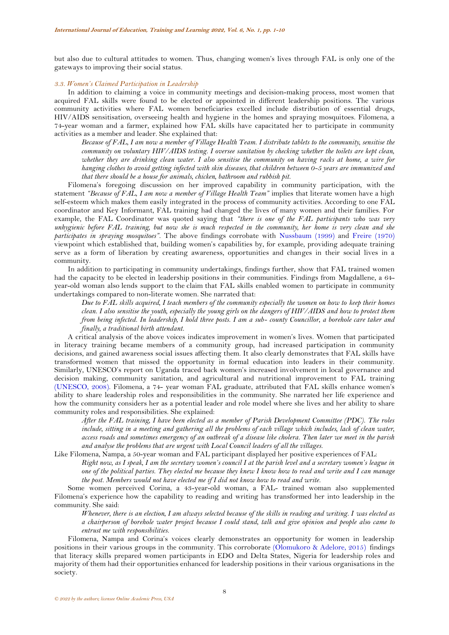but also due to cultural attitudes to women. Thus, changing women's lives through FAL is only one of the gateways to improving their social status.

#### *3.3. Women's Claimed Participation in Leadership*

In addition to claiming a voice in community meetings and decision-making process, most women that acquired FAL skills were found to be elected or appointed in different leadership positions. The various community activities where FAL women beneficiaries excelled include distribution of essential drugs, HIV/AIDS sensitisation, overseeing health and hygiene in the homes and spraying mosquitoes. Filomena, a 74-year woman and a farmer, explained how FAL skills have capacitated her to participate in community activities as a member and leader. She explained that:

*Because of FAL, I am now a member of Village Health Team. I distribute tablets to the community, sensitise the community on voluntary HIV/AIDS testing. I oversee sanitation by checking whether the toilets are kept clean, whether they are drinking clean water. I also sensitise the community on having racks at home, a wire for hanging clothes to avoid getting infected with skin diseases, that children between 0-5 years are immunized and that there should be a house for animals, chicken, bathroom and rubbish pit.*

Filomena's foregoing discussion on her improved capability in community participation, with the statement *"Because of FAL, I am now a member of Village Health Team"* implies that literate women have a high self-esteem which makes them easily integrated in the process of community activities. According to one FAL coordinator and Key Informant, FAL training had changed the lives of many women and their families. For example, the FAL Coordinator was quoted saying that *"there is one of the FAL participants who was very unhygienic before FAL training, but now she is much respected in the community, her home is very clean and she participates in spraying mosquitoes".* The above findings corrobate with [Nussbaum \(1999\)](#page-9-33) and [Freire \(1970\)](#page-8-1) viewpoint which established that, building women's capabilities by, for example, providing adequate training serve as a form of liberation by creating awareness, opportunities and changes in their social lives in a community.

In addition to participating in community undertakings, findings further, show that FAL trained women had the capacity to be elected in leadership positions in their communities. Findings from Magdallene, a 64 year-old woman also lends support to the claim that FAL skills enabled women to participate in community undertakings compared to non-literate women. She narrated that:

*Due to FAL skills acquired, I teach members of the community especially the women on how to keep their homes clean. I also sensitise the youth, especially the young girls on the dangers of HIV/AIDS and how to protect them from being infected. In leadership, I hold three posts. I am a sub- county Councillor, a borehole care taker and finally, a traditional birth attendant.*

A critical analysis of the above voices indicates improvement in women's lives. Women that participated in literacy training became members of a community group, had increased participation in community decisions, and gained awareness social issues affecting them. It also clearly demonstrates that FAL skills have transformed women that missed the opportunity in formal education into leaders in their community. Similarly, UNESCO's report on Uganda traced back women's increased involvement in local governance and decision making, community sanitation, and agricultural and nutritional improvement to FAL training [\(UNESCO, 2008\)](#page-9-11). Filomena, a 74- year woman FAL graduate, attributed that FAL skills enhance women's ability to share leadership roles and responsibilities in the community. She narrated her life experience and how the community considers her as a potential leader and role model where she lives and her ability to share community roles and responsibilities. She explained:

*After the FAL training, I have been elected as a member of Parish Development Committee (PDC). The roles*  include, sitting in a meeting and gathering all the problems of each village which includes, lack of clean water, *access roads and sometimes emergency of an outbreak of a disease like cholera. Then later we meet in the parish and analyse the problems that are urgent with Local Council leaders of all the villages.*

Like Filomena, Nampa, a 50-year woman and FAL participant displayed her positive experiences of FAL: *Right now, as I speak, I am the secretary women's council I at the parish level and a secretary women's league in one of the political parties. They elected me because they knew I know how to read and write and I can manage the post. Members would not have elected me if I did not know how to read and write.*

Some women perceived Corina, a 43-year-old woman, a FAL- trained woman also supplemented Filomena's experience how the capability to reading and writing has transformed her into leadership in the community. She said:

*Whenever, there is an election, I am always selected because of the skills in reading and writing. I was elected as a chairperson of borehole water project because I could stand, talk and give opinion and people also came to entrust me with responsibilities.* 

Filomena, Nampa and Corina's voices clearly demonstrates an opportunity for women in leadership positions in their various groups in the community. This corroborate [\(Olomukoro & Adelore, 2015\)](#page-9-28) findings that literacy skills prepared women participants in EDO and Delta States, Nigeria for leadership roles and majority of them had their opportunities enhanced for leadership positions in their various organisations in the society.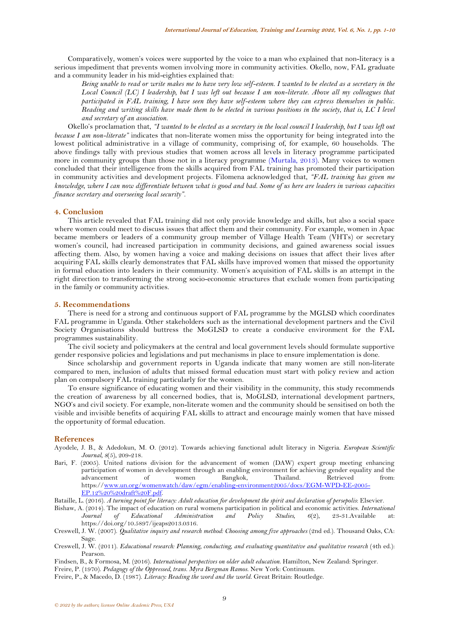Comparatively, women's voices were supported by the voice to a man who explained that non-literacy is a serious impediment that prevents women involving more in community activities. Okello, now, FAL graduate and a community leader in his mid-eighties explained that:

*Being unable to read or write makes me to have very low self-esteem. I wanted to be elected as a secretary in the Local Council (LC) I leadership, but I was left out because I am non-literate. Above all my colleagues that participated in FAL training, I have seen they have self-esteem where they can express themselves in public. Reading and writing skills have made them to be elected in various positions in the society, that is, LC I level and secretary of an association.*

Okello's proclamation that, *"I wanted to be elected as a secretary in the local council I leadership, but I was left out because I am non-literate"* indicates that non-literate women miss the opportunity for being integrated into the lowest political administrative in a village of community, comprising of, for example, 60 households. The above findings tally with previous studies that women across all levels in literacy programme participated more in community groups than those not in a literacy programme [\(Murtala, 2013\)](#page-9-29). Many voices to women concluded that their intelligence from the skills acquired from FAL training has promoted their participation in community activities and development projects. Filomena acknowledged that, *"FAL training has given me knowledge, where I can now differentiate between what is good and bad. Some of us here are leaders in various capacities finance secretary and overseeing local security".*

## **4. Conclusion**

This article revealed that FAL training did not only provide knowledge and skills, but also a social space where women could meet to discuss issues that affect them and their community. For example, women in Apac became members or leaders of a community group member of Village Health Team (VHTs) or secretary women's council, had increased participation in community decisions, and gained awareness social issues affecting them. Also, by women having a voice and making decisions on issues that affect their lives after acquiring FAL skills clearly demonstrates that FAL skills have improved women that missed the opportunity in formal education into leaders in their community. Women's acquisition of FAL skills is an attempt in the right direction to transforming the strong socio-economic structures that exclude women from participating in the family or community activities.

#### **5. Recommendations**

There is need for a strong and continuous support of FAL programme by the MGLSD which coordinates FAL programme in Uganda. Other stakeholders such as the international development partners and the Civil Society Organisations should buttress the MoGLSD to create a conducive environment for the FAL programmes sustainability.

The civil society and policymakers at the central and local government levels should formulate supportive gender responsive policies and legislations and put mechanisms in place to ensure implementation is done.

Since scholarship and government reports in Uganda indicate that many women are still non-literate compared to men, inclusion of adults that missed formal education must start with policy review and action plan on compulsory FAL training particularly for the women.

To ensure significance of educating women and their visibility in the community, this study recommends the creation of awareness by all concerned bodies, that is, MoGLSD, international development partners, NGO's and civil society. For example, non-literate women and the community should be sensitised on both the visible and invisible benefits of acquiring FAL skills to attract and encourage mainly women that have missed the opportunity of formal education.

#### **References**

- <span id="page-8-5"></span>Ayodele, J. B., & Adedokun, M. O. (2012). Towards achieving functional adult literacy in Nigeria. *European Scientific Journal, 8*(5), 209-218.
- <span id="page-8-6"></span>Bari, F. (2005). United nations division for the advancement of women (DAW) expert group meeting enhancing participation of women in development through an enabling environment for achieving gender equality and the advancement of women Bangkok, Thailand. Retrieved from: https:/[/www.un.org/womenwatch/daw/egm/enabling-environment2005/docs/EGM-WPD-EE-2005-](http://www.un.org/womenwatch/daw/egm/enabling-environment2005/docs/EGM-WPD-EE-2005-EP.12%20%20draft%20F.pdf) [EP.12%20%20draft%20F.pdf.](http://www.un.org/womenwatch/daw/egm/enabling-environment2005/docs/EGM-WPD-EE-2005-EP.12%20%20draft%20F.pdf)

<span id="page-8-2"></span>Bataille, L. (2016). *A turning point for literacy: Adult education for development the spirit and declaration of persepolis*: Elsevier.

- <span id="page-8-3"></span>Bishaw, A. (2014). The impact of education on rural womens participation in political and economic activities. *International Journal of Educational Administration and Policy Studies, 6(2), 23-31.Available* https://doi.org/10.5897/ijeaps2013.0316.
- <span id="page-8-8"></span>Creswell, J. W. (2007). *Qualitative inquiry and research method: Choosing among five approaches* (2nd ed.). Thousand Oaks, CA: Sage.
- <span id="page-8-7"></span>Creswell, J. W. (2011). *Educational research: Planning, conducting, and evaluating quantitative and qualitative research* (4th ed.): Pearson.

<span id="page-8-0"></span>Findsen, B., & Formosa, M. (2016). *International perspectives on older adult education*. Hamilton, New Zealand: Springer.

<span id="page-8-1"></span>Freire, P. (1970). *Pedagogy of the Oppressed, trans. Myra Bergman Ramos*. New York: Continuum.

<span id="page-8-4"></span>Freire, P., & Macedo, D. (1987). *Literacy: Reading the word and the world*. Great Britain: Routledge.